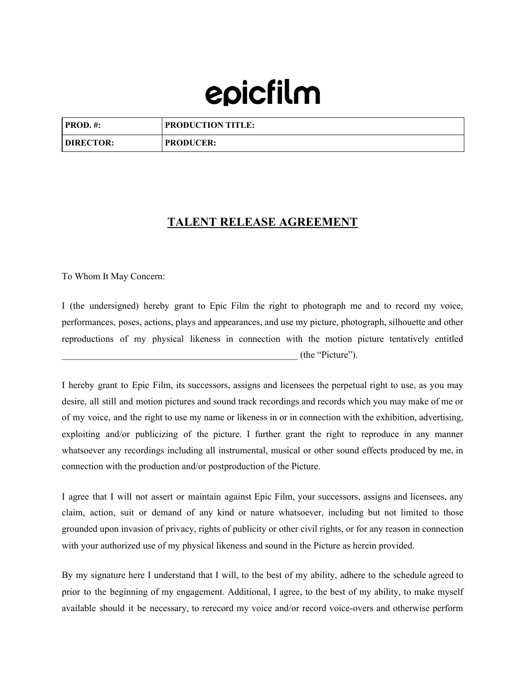## epicfilm

| $PROD. \#$       | <b>PRODUCTION TITLE:</b> |
|------------------|--------------------------|
| <b>DIRECTOR:</b> | <b>PRODUCER:</b>         |

## **TALENT RELEASE AGREEMENT**

To Whom It May Concern:

I (the undersigned) hereby grant to Epic Film the right to photograph me and to record my voice, performances, poses, actions, plays and appearances, and use my picture, photograph, silhouette and other reproductions of my physical likeness in connection with the motion picture tentatively entitled \_\_\_\_\_\_\_\_\_\_\_\_\_\_\_\_\_\_\_\_\_\_\_\_\_\_\_\_\_\_\_\_\_\_\_\_\_\_\_\_\_\_\_\_\_\_\_\_\_\_ (the "Picture").

I hereby grant to Epic Film, its successors, assigns and licensees the perpetual right to use, as you may desire, all still and motion pictures and sound track recordings and records which you may make of me or of my voice, and the right to use my name or likeness in or in connection with the exhibition, advertising, exploiting and/or publicizing of the picture. I further grant the right to reproduce in any manner whatsoever any recordings including all instrumental, musical or other sound effects produced by me, in connection with the production and/or postproduction of the Picture.

I agree that I will not assert or maintain against Epic Film, your successors, assigns and licensees, any claim, action, suit or demand of any kind or nature whatsoever, including but not limited to those grounded upon invasion of privacy, rights of publicity or other civil rights, or for any reason in connection with your authorized use of my physical likeness and sound in the Picture as herein provided.

By my signature here I understand that I will, to the best of my ability, adhere to the schedule agreed to prior to the beginning of my engagement. Additional, I agree, to the best of my ability, to make myself available should it be necessary, to rerecord my voice and/or record voice-overs and otherwise perform